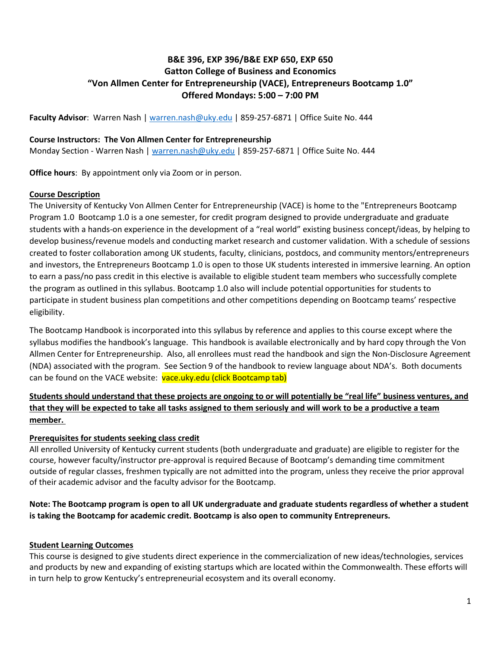# **B&E 396, EXP 396/B&E EXP 650, EXP 650 Gatton College of Business and Economics "Von Allmen Center for Entrepreneurship (VACE), Entrepreneurs Bootcamp 1.0" Offered Mondays: 5:00 – 7:00 PM**

**Faculty Advisor**: Warren Nash | [warren.nash@uky.edu](mailto:warren.nash@uky.edu) | 859-257-6871 | Office Suite No. 444

### **Course Instructors: The Von Allmen Center for Entrepreneurship**

Monday Section - Warren Nash | [warren.nash@uky.edu](mailto:warren.nash@uky.edu) | 859-257-6871 | Office Suite No. 444

**Office hours**: By appointment only via Zoom or in person.

#### **Course Description**

The University of Kentucky Von Allmen Center for Entrepreneurship (VACE) is home to the "Entrepreneurs Bootcamp Program 1.0 Bootcamp 1.0 is a one semester, for credit program designed to provide undergraduate and graduate students with a hands-on experience in the development of a "real world" existing business concept/ideas, by helping to develop business/revenue models and conducting market research and customer validation. With a schedule of sessions created to foster collaboration among UK students, faculty, clinicians, postdocs, and community mentors/entrepreneurs and investors, the Entrepreneurs Bootcamp 1.0 is open to those UK students interested in immersive learning. An option to earn a pass/no pass credit in this elective is available to eligible student team members who successfully complete the program as outlined in this syllabus. Bootcamp 1.0 also will include potential opportunities for students to participate in student business plan competitions and other competitions depending on Bootcamp teams' respective eligibility.

The Bootcamp Handbook is incorporated into this syllabus by reference and applies to this course except where the syllabus modifies the handbook's language. This handbook is available electronically and by hard copy through the Von Allmen Center for Entrepreneurship. Also, all enrollees must read the handbook and sign the Non-Disclosure Agreement (NDA) associated with the program. See Section 9 of the handbook to review language about NDA's. Both documents can be found on the VACE website: vace.uky.edu (click Bootcamp tab)

# **Students should understand that these projects are ongoing to or will potentially be "real life" business ventures, and that they will be expected to take all tasks assigned to them seriously and will work to be a productive a team member.**

## **Prerequisites for students seeking class credit**

All enrolled University of Kentucky current students (both undergraduate and graduate) are eligible to register for the course, however faculty/instructor pre-approval is required Because of Bootcamp's demanding time commitment outside of regular classes, freshmen typically are not admitted into the program, unless they receive the prior approval of their academic advisor and the faculty advisor for the Bootcamp.

# **Note: The Bootcamp program is open to all UK undergraduate and graduate students regardless of whether a student is taking the Bootcamp for academic credit. Bootcamp is also open to community Entrepreneurs.**

## **Student Learning Outcomes**

This course is designed to give students direct experience in the commercialization of new ideas/technologies, services and products by new and expanding of existing startups which are located within the Commonwealth. These efforts will in turn help to grow Kentucky's entrepreneurial ecosystem and its overall economy.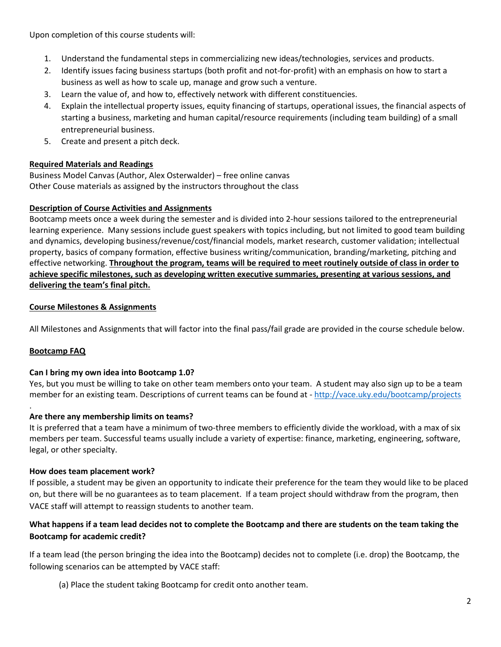Upon completion of this course students will:

- 1. Understand the fundamental steps in commercializing new ideas/technologies, services and products.
- 2. Identify issues facing business startups (both profit and not-for-profit) with an emphasis on how to start a business as well as how to scale up, manage and grow such a venture.
- 3. Learn the value of, and how to, effectively network with different constituencies.
- 4. Explain the intellectual property issues, equity financing of startups, operational issues, the financial aspects of starting a business, marketing and human capital/resource requirements (including team building) of a small entrepreneurial business.
- 5. Create and present a pitch deck.

## **Required Materials and Readings**

Business Model Canvas (Author, Alex Osterwalder) – free online canvas Other Couse materials as assigned by the instructors throughout the class

## **Description of Course Activities and Assignments**

Bootcamp meets once a week during the semester and is divided into 2-hour sessions tailored to the entrepreneurial learning experience. Many sessions include guest speakers with topics including, but not limited to good team building and dynamics, developing business/revenue/cost/financial models, market research, customer validation; intellectual property, basics of company formation, effective business writing/communication, branding/marketing, pitching and effective networking. **Throughout the program, teams will be required to meet routinely outside of class in order to achieve specific milestones, such as developing written executive summaries, presenting at various sessions, and delivering the team's final pitch.**

#### **Course Milestones & Assignments**

All Milestones and Assignments that will factor into the final pass/fail grade are provided in the course schedule below.

## **Bootcamp FAQ**

.

#### **Can I bring my own idea into Bootcamp 1.0?**

Yes, but you must be willing to take on other team members onto your team. A student may also sign up to be a team member for an existing team. Descriptions of current teams can be found at - <http://vace.uky.edu/bootcamp/projects>

## **Are there any membership limits on teams?**

It is preferred that a team have a minimum of two-three members to efficiently divide the workload, with a max of six members per team. Successful teams usually include a variety of expertise: finance, marketing, engineering, software, legal, or other specialty.

#### **How does team placement work?**

If possible, a student may be given an opportunity to indicate their preference for the team they would like to be placed on, but there will be no guarantees as to team placement. If a team project should withdraw from the program, then VACE staff will attempt to reassign students to another team.

## **What happens if a team lead decides not to complete the Bootcamp and there are students on the team taking the Bootcamp for academic credit?**

If a team lead (the person bringing the idea into the Bootcamp) decides not to complete (i.e. drop) the Bootcamp, the following scenarios can be attempted by VACE staff:

(a) Place the student taking Bootcamp for credit onto another team.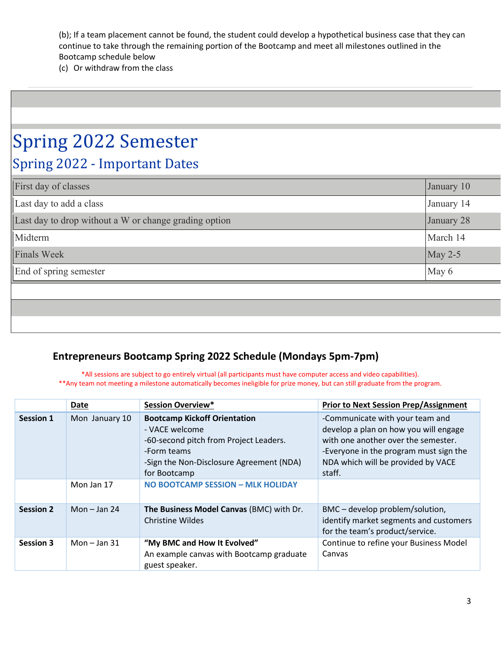(b); If a team placement cannot be found, the student could develop a hypothetical business case that they can continue to take through the remaining portion of the Bootcamp and meet all milestones outlined in the Bootcamp schedule below

(c) Or withdraw from the class

# Spring 2022 Semester Spring 2022 - Important Dates

| First day of classes                                  | January 10 |
|-------------------------------------------------------|------------|
| Last day to add a class                               | January 14 |
| Last day to drop without a W or change grading option | January 28 |
| Midterm                                               | March 14   |
| <b>Finals Week</b>                                    | May $2-5$  |
| End of spring semester                                | May 6      |

# **Entrepreneurs Bootcamp Spring 2022 Schedule (Mondays 5pm-7pm)**

\*All sessions are subject to go entirely virtual (all participants must have computer access and video capabilities).

\*\*Any team not meeting a milestone automatically becomes ineligible for prize money, but can still graduate from the program.

|                  | Date           | <b>Session Overview*</b>                                                                                                                                                   | <b>Prior to Next Session Prep/Assignment</b>                                                                                                                                                              |
|------------------|----------------|----------------------------------------------------------------------------------------------------------------------------------------------------------------------------|-----------------------------------------------------------------------------------------------------------------------------------------------------------------------------------------------------------|
| <b>Session 1</b> | Mon January 10 | <b>Bootcamp Kickoff Orientation</b><br>- VACE welcome<br>-60-second pitch from Project Leaders.<br>-Form teams<br>-Sign the Non-Disclosure Agreement (NDA)<br>for Bootcamp | -Communicate with your team and<br>develop a plan on how you will engage<br>with one another over the semester.<br>-Everyone in the program must sign the<br>NDA which will be provided by VACE<br>staff. |
|                  | Mon Jan 17     | NO BOOTCAMP SESSION - MLK HOLIDAY                                                                                                                                          |                                                                                                                                                                                                           |
| <b>Session 2</b> | Mon $-$ Jan 24 | The Business Model Canvas (BMC) with Dr.<br><b>Christine Wildes</b>                                                                                                        | BMC – develop problem/solution,<br>identify market segments and customers<br>for the team's product/service.                                                                                              |
| <b>Session 3</b> | Mon $-$ Jan 31 | "My BMC and How It Evolved"<br>An example canvas with Bootcamp graduate<br>guest speaker.                                                                                  | Continue to refine your Business Model<br>Canvas                                                                                                                                                          |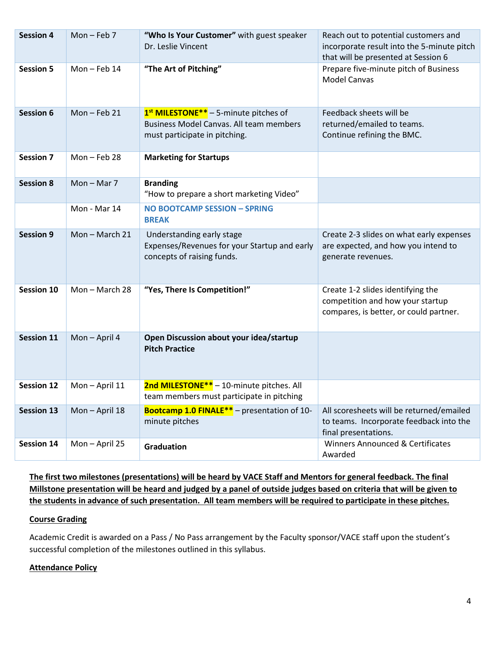| <b>Session 4</b>  | Mon-Feb $7$   | "Who Is Your Customer" with guest speaker<br>Dr. Leslie Vincent                                                                           | Reach out to potential customers and<br>incorporate result into the 5-minute pitch<br>that will be presented at Session 6 |
|-------------------|---------------|-------------------------------------------------------------------------------------------------------------------------------------------|---------------------------------------------------------------------------------------------------------------------------|
| <b>Session 5</b>  | Mon-Feb 14    | "The Art of Pitching"                                                                                                                     | Prepare five-minute pitch of Business<br><b>Model Canvas</b>                                                              |
| <b>Session 6</b>  | Mon-Feb 21    | 1 <sup>st</sup> MILESTONE <sup>**</sup> - 5-minute pitches of<br>Business Model Canvas. All team members<br>must participate in pitching. | Feedback sheets will be<br>returned/emailed to teams.<br>Continue refining the BMC.                                       |
| <b>Session 7</b>  | Mon-Feb 28    | <b>Marketing for Startups</b>                                                                                                             |                                                                                                                           |
| <b>Session 8</b>  | $Mon - Mar$ 7 | <b>Branding</b><br>"How to prepare a short marketing Video"                                                                               |                                                                                                                           |
|                   | Mon - Mar 14  | NO BOOTCAMP SESSION - SPRING<br><b>BREAK</b>                                                                                              |                                                                                                                           |
| <b>Session 9</b>  | Mon-March 21  | Understanding early stage<br>Expenses/Revenues for your Startup and early<br>concepts of raising funds.                                   | Create 2-3 slides on what early expenses<br>are expected, and how you intend to<br>generate revenues.                     |
| <b>Session 10</b> | Mon-March 28  | "Yes, There Is Competition!"                                                                                                              | Create 1-2 slides identifying the<br>competition and how your startup<br>compares, is better, or could partner.           |
| <b>Session 11</b> | Mon-April 4   | Open Discussion about your idea/startup<br><b>Pitch Practice</b>                                                                          |                                                                                                                           |
| <b>Session 12</b> | Mon-April 11  | 2nd MILESTONE ** - 10-minute pitches. All<br>team members must participate in pitching                                                    |                                                                                                                           |
| <b>Session 13</b> | Mon-April 18  | Bootcamp 1.0 FINALE <sup>**</sup> - presentation of 10-<br>minute pitches                                                                 | All scoresheets will be returned/emailed<br>to teams. Incorporate feedback into the<br>final presentations.               |
| <b>Session 14</b> | Mon-April 25  | Graduation                                                                                                                                | Winners Announced & Certificates<br>Awarded                                                                               |

**The first two milestones (presentations) will be heard by VACE Staff and Mentors for general feedback. The final Millstone presentation will be heard and judged by a panel of outside judges based on criteria that will be given to the students in advance of such presentation. All team members will be required to participate in these pitches.**

## **Course Grading**

Academic Credit is awarded on a Pass / No Pass arrangement by the Faculty sponsor/VACE staff upon the student's successful completion of the milestones outlined in this syllabus.

## **Attendance Policy**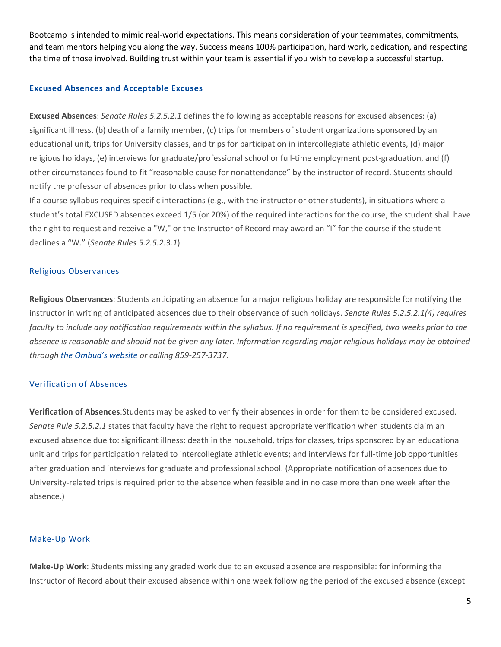Bootcamp is intended to mimic real-world expectations. This means consideration of your teammates, commitments, and team mentors helping you along the way. Success means 100% participation, hard work, dedication, and respecting the time of those involved. Building trust within your team is essential if you wish to develop a successful startup.

#### **Excused Absences and Acceptable Excuses**

**Excused Absences**: *Senate Rules 5.2.5.2.1* defines the following as acceptable reasons for excused absences: (a) significant illness, (b) death of a family member, (c) trips for members of student organizations sponsored by an educational unit, trips for University classes, and trips for participation in intercollegiate athletic events, (d) major religious holidays, (e) interviews for graduate/professional school or full-time employment post-graduation, and (f) other circumstances found to fit "reasonable cause for nonattendance" by the instructor of record. Students should notify the professor of absences prior to class when possible.

If a course syllabus requires specific interactions (e.g., with the instructor or other students), in situations where a student's total EXCUSED absences exceed 1/5 (or 20%) of the required interactions for the course, the student shall have the right to request and receive a "W," or the Instructor of Record may award an "I" for the course if the student declines a "W." (*Senate Rules 5.2.5.2.3.1*)

#### Religious Observances

**Religious Observances**: Students anticipating an absence for a major religious holiday are responsible for notifying the instructor in writing of anticipated absences due to their observance of such holidays. *Senate Rules 5.2.5.2.1(4) requires faculty to include any notification requirements within the syllabus. If no requirement is specified, two weeks prior to the absence is reasonable and should not be given any later. Information regarding major religious holidays may be obtained through [the Ombud's website o](https://www.uky.edu/ombud/religious-observation-accommodations)r calling 859-257-3737.*

#### Verification of Absences

**Verification of Absences**:Students may be asked to verify their absences in order for them to be considered excused. *Senate Rule 5.2.5.2.1* states that faculty have the right to request appropriate verification when students claim an excused absence due to: significant illness; death in the household, trips for classes, trips sponsored by an educational unit and trips for participation related to intercollegiate athletic events; and interviews for full-time job opportunities after graduation and interviews for graduate and professional school. (Appropriate notification of absences due to University-related trips is required prior to the absence when feasible and in no case more than one week after the absence.)

#### Make-Up Work

**Make-Up Work**: Students missing any graded work due to an excused absence are responsible: for informing the Instructor of Record about their excused absence within one week following the period of the excused absence (except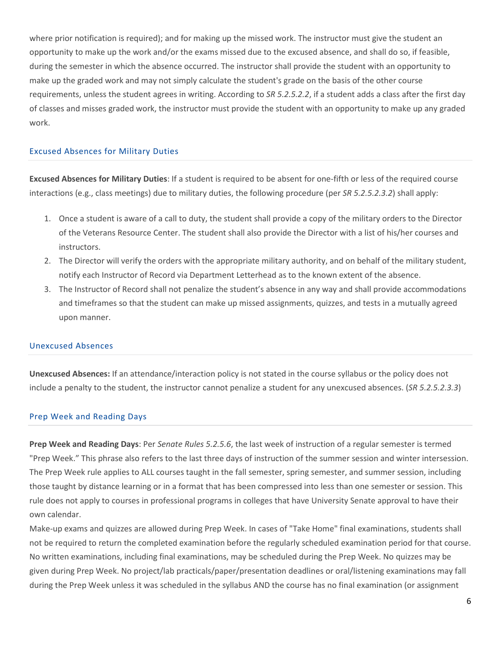where prior notification is required); and for making up the missed work. The instructor must give the student an opportunity to make up the work and/or the exams missed due to the excused absence, and shall do so, if feasible, during the semester in which the absence occurred. The instructor shall provide the student with an opportunity to make up the graded work and may not simply calculate the student's grade on the basis of the other course requirements, unless the student agrees in writing. According to *SR 5.2.5.2.2*, if a student adds a class after the first day of classes and misses graded work, the instructor must provide the student with an opportunity to make up any graded work.

#### Excused Absences for Military Duties

**Excused Absences for Military Duties**: If a student is required to be absent for one-fifth or less of the required course interactions (e.g., class meetings) due to military duties, the following procedure (per *SR 5.2.5.2.3.2*) shall apply:

- 1. Once a student is aware of a call to duty, the student shall provide a copy of the military orders to the Director of the Veterans Resource Center. The student shall also provide the Director with a list of his/her courses and instructors.
- 2. The Director will verify the orders with the appropriate military authority, and on behalf of the military student, notify each Instructor of Record via Department Letterhead as to the known extent of the absence.
- 3. The Instructor of Record shall not penalize the student's absence in any way and shall provide accommodations and timeframes so that the student can make up missed assignments, quizzes, and tests in a mutually agreed upon manner.

#### Unexcused Absences

**Unexcused Absences:** If an attendance/interaction policy is not stated in the course syllabus or the policy does not include a penalty to the student, the instructor cannot penalize a student for any unexcused absences. (*SR 5.2.5.2.3.3*)

#### Prep Week and Reading Days

**Prep Week and Reading Days**: Per *Senate Rules 5.2.5.6*, the last week of instruction of a regular semester is termed "Prep Week." This phrase also refers to the last three days of instruction of the summer session and winter intersession. The Prep Week rule applies to ALL courses taught in the fall semester, spring semester, and summer session, including those taught by distance learning or in a format that has been compressed into less than one semester or session. This rule does not apply to courses in professional programs in colleges that have University Senate approval to have their own calendar.

Make-up exams and quizzes are allowed during Prep Week. In cases of "Take Home" final examinations, students shall not be required to return the completed examination before the regularly scheduled examination period for that course. No written examinations, including final examinations, may be scheduled during the Prep Week. No quizzes may be given during Prep Week. No project/lab practicals/paper/presentation deadlines or oral/listening examinations may fall during the Prep Week unless it was scheduled in the syllabus AND the course has no final examination (or assignment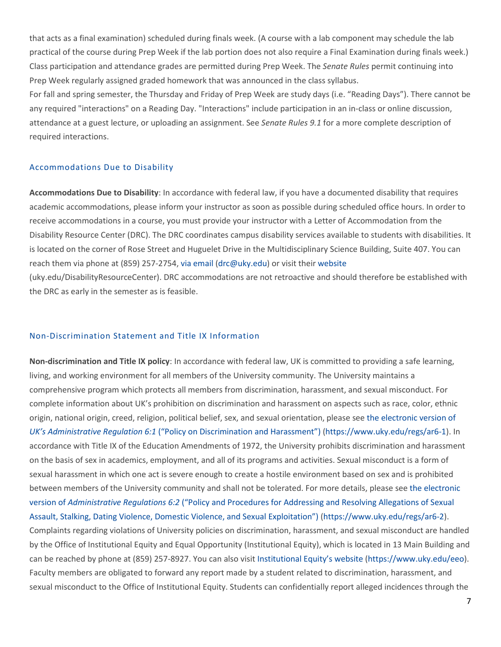that acts as a final examination) scheduled during finals week. (A course with a lab component may schedule the lab practical of the course during Prep Week if the lab portion does not also require a Final Examination during finals week.) Class participation and attendance grades are permitted during Prep Week. The *Senate Rules* permit continuing into Prep Week regularly assigned graded homework that was announced in the class syllabus.

For fall and spring semester, the Thursday and Friday of Prep Week are study days (i.e. "Reading Days"). There cannot be any required "interactions" on a Reading Day. "Interactions" include participation in an in-class or online discussion, attendance at a guest lecture, or uploading an assignment. See *Senate Rules 9.1* for a more complete description of required interactions.

#### Accommodations Due to Disability

**Accommodations Due to Disability**: In accordance with federal law, if you have a documented disability that requires academic accommodations, please inform your instructor as soon as possible during scheduled office hours. In order to receive accommodations in a course, you must provide your instructor with a Letter of Accommodation from the Disability Resource Center (DRC). The DRC coordinates campus disability services available to students with disabilities. It is located on the corner of Rose Street and Huguelet Drive in the Multidisciplinary Science Building, Suite 407. You can reach them via phone at (859) 257-2754, [via email](https://www.uky.edu/universitysenate/drc@uky.edu) [\(drc@uky.edu\)](mailto:drc@uky.edu) or visit thei[r website](http://www.uky.edu/DisabilityResourceCenter) (uky.edu/DisabilityResourceCenter). DRC accommodations are not retroactive and should therefore be established with the DRC as early in the semester as is feasible.

#### Non-Discrimination Statement and Title IX Information

**Non-discrimination and Title IX policy**: In accordance with federal law, UK is committed to providing a safe learning, living, and working environment for all members of the University community. The University maintains a comprehensive program which protects all members from discrimination, harassment, and sexual misconduct. For complete information about UK's prohibition on discrimination and harassment on aspects such as race, color, ethnic origin, national origin, creed, religion, political belief, sex, and sexual orientation, please see [the electronic version of](https://www.uky.edu/regs/ar6-1)  *UK's Administrative Regulation 6:1* [\("Policy on Discrimination and Harassment"\)](https://www.uky.edu/regs/ar6-1) [\(https://www.uky.edu/regs/ar6-1\)](https://www.uky.edu/regs/ar6-1). In accordance with Title IX of the Education Amendments of 1972, the University prohibits discrimination and harassment on the basis of sex in academics, employment, and all of its programs and activities. Sexual misconduct is a form of sexual harassment in which one act is severe enough to create a hostile environment based on sex and is prohibited between members of the University community and shall not be tolerated. For more details, please se[e the electronic](https://www.uky.edu/regs/ar6-2)  version of *Administrative Regulations 6:2* [\("Policy and Procedures for Addressing and Resolving Allegations of Sexual](https://www.uky.edu/regs/ar6-2)  [Assault, Stalking, Dating Violence, Domestic Violence, and Sexual Exploitation"\)](https://www.uky.edu/regs/ar6-2) [\(https://www.uky.edu/regs/ar6-2\)](https://www.uky.edu/regs/ar6-2). Complaints regarding violations of University policies on discrimination, harassment, and sexual misconduct are handled by the Office of Institutional Equity and Equal Opportunity (Institutional Equity), which is located in 13 Main Building and can be reached by phone at (859) 257-8927. You can also visi[t Institutional Equity's website](https://www.uky.edu/eeo/) [\(https://www.uky.edu/eeo\)](https://www.uky.edu/eeo). Faculty members are obligated to forward any report made by a student related to discrimination, harassment, and sexual misconduct to the Office of Institutional Equity. Students can confidentially report alleged incidences through the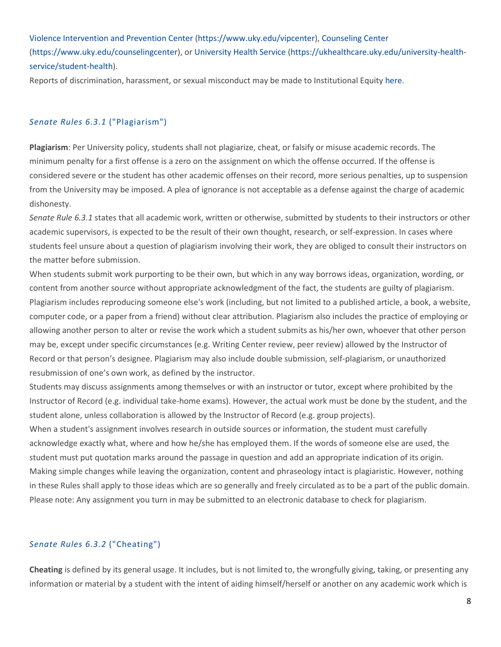[Violence Intervention and Prevention Center](https://www.uky.edu/vipcenter/) [\(https://www.uky.edu/vipcenter\)](https://www.uky.edu/vipcenter), [Counseling Center](https://www.uky.edu/counselingcenter/) [\(https://www.uky.edu/counselingcenter\)](https://www.uky.edu/counselingcenter), o[r University Health Service](https://ukhealthcare.uky.edu/university-health-service/student-health) [\(https://ukhealthcare.uky.edu/university-health](https://ukhealthcare.uky.edu/university-health-service/student-health)[service/student-health\)](https://ukhealthcare.uky.edu/university-health-service/student-health).

Reports of discrimination, harassment, or sexual misconduct may be made to Institutional Equity [here.](https://www.uky.edu/universitysenate/)

#### *Senate Rules 6.3.1* ("Plagiarism")

**Plagiarism**: Per University policy, students shall not plagiarize, cheat, or falsify or misuse academic records. The minimum penalty for a first offense is a zero on the assignment on which the offense occurred. If the offense is considered severe or the student has other academic offenses on their record, more serious penalties, up to suspension from the University may be imposed. A plea of ignorance is not acceptable as a defense against the charge of academic dishonesty.

*Senate Rule 6.3.1* states that all academic work, written or otherwise, submitted by students to their instructors or other academic supervisors, is expected to be the result of their own thought, research, or self-expression. In cases where students feel unsure about a question of plagiarism involving their work, they are obliged to consult their instructors on the matter before submission.

When students submit work purporting to be their own, but which in any way borrows ideas, organization, wording, or content from another source without appropriate acknowledgment of the fact, the students are guilty of plagiarism. Plagiarism includes reproducing someone else's work (including, but not limited to a published article, a book, a website, computer code, or a paper from a friend) without clear attribution. Plagiarism also includes the practice of employing or allowing another person to alter or revise the work which a student submits as his/her own, whoever that other person may be, except under specific circumstances (e.g. Writing Center review, peer review) allowed by the Instructor of Record or that person's designee. Plagiarism may also include double submission, self-plagiarism, or unauthorized resubmission of one's own work, as defined by the instructor.

Students may discuss assignments among themselves or with an instructor or tutor, except where prohibited by the Instructor of Record (e.g. individual take-home exams). However, the actual work must be done by the student, and the student alone, unless collaboration is allowed by the Instructor of Record (e.g. group projects).

When a student's assignment involves research in outside sources or information, the student must carefully acknowledge exactly what, where and how he/she has employed them. If the words of someone else are used, the student must put quotation marks around the passage in question and add an appropriate indication of its origin. Making simple changes while leaving the organization, content and phraseology intact is plagiaristic. However, nothing in these Rules shall apply to those ideas which are so generally and freely circulated as to be a part of the public domain. Please note: Any assignment you turn in may be submitted to an electronic database to check for plagiarism.

#### *Senate Rules 6.3.2* ("Cheating")

**Cheating** is defined by its general usage. It includes, but is not limited to, the wrongfully giving, taking, or presenting any information or material by a student with the intent of aiding himself/herself or another on any academic work which is